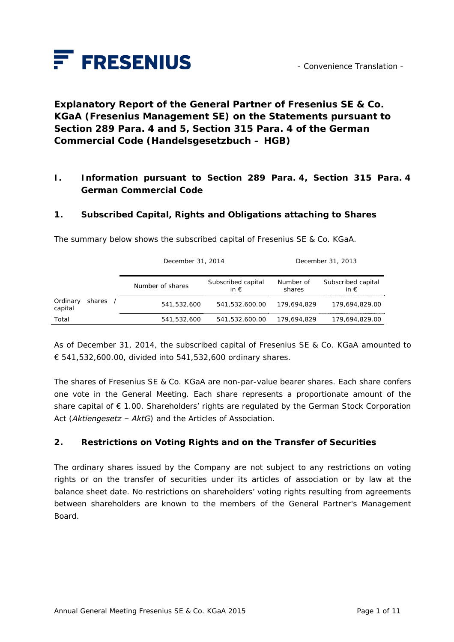



**Explanatory Report of the General Partner of Fresenius SE & Co. KGaA (Fresenius Management SE) on the Statements pursuant to Section 289 Para. 4 and 5, Section 315 Para. 4 of the German Commercial Code (***Handelsgesetzbuch – HGB***)** 

## **I. Information pursuant to Section 289 Para. 4, Section 315 Para. 4 German Commercial Code**

#### **1. Subscribed Capital, Rights and Obligations attaching to Shares**

|                     |          | December 31, 2014 |                                     | December 31, 2013   |                                     |
|---------------------|----------|-------------------|-------------------------------------|---------------------|-------------------------------------|
|                     |          | Number of shares  | Subscribed capital<br>in $\epsilon$ | Number of<br>shares | Subscribed capital<br>in $\epsilon$ |
| Ordinary<br>capital | shares / | 541,532,600       | 541,532,600.00                      | 179.694.829         | 179,694,829.00                      |
| Total               |          | 541,532,600       | 541,532,600.00                      | 179.694.829         | 179,694,829.00                      |

The summary below shows the subscribed capital of Fresenius SE & Co. KGaA.

As of December 31, 2014, the subscribed capital of Fresenius SE & Co. KGaA amounted to € 541,532,600.00, divided into 541,532,600 ordinary shares.

The shares of Fresenius SE & Co. KGaA are non-par-value bearer shares. Each share confers one vote in the General Meeting. Each share represents a proportionate amount of the share capital of € 1.00. Shareholders' rights are regulated by the German Stock Corporation Act (*Aktiengesetz – AktG*) and the Articles of Association.

#### **2. Restrictions on Voting Rights and on the Transfer of Securities**

The ordinary shares issued by the Company are not subject to any restrictions on voting rights or on the transfer of securities under its articles of association or by law at the balance sheet date. No restrictions on shareholders' voting rights resulting from agreements between shareholders are known to the members of the General Partner's Management Board.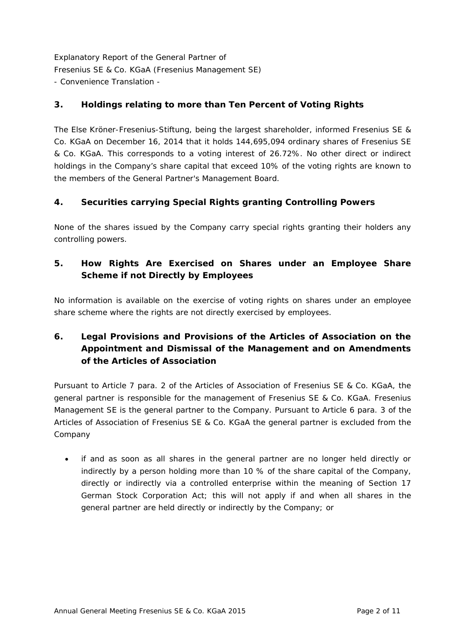### **3. Holdings relating to more than Ten Percent of Voting Rights**

The Else Kröner-Fresenius-Stiftung, being the largest shareholder, informed Fresenius SE & Co. KGaA on December 16, 2014 that it holds 144,695,094 ordinary shares of Fresenius SE & Co. KGaA. This corresponds to a voting interest of 26.72%. No other direct or indirect holdings in the Company's share capital that exceed 10% of the voting rights are known to the members of the General Partner's Management Board.

### **4. Securities carrying Special Rights granting Controlling Powers**

None of the shares issued by the Company carry special rights granting their holders any controlling powers.

## **5. How Rights Are Exercised on Shares under an Employee Share Scheme if not Directly by Employees**

No information is available on the exercise of voting rights on shares under an employee share scheme where the rights are not directly exercised by employees.

# **6. Legal Provisions and Provisions of the Articles of Association on the Appointment and Dismissal of the Management and on Amendments of the Articles of Association**

Pursuant to Article 7 para. 2 of the Articles of Association of Fresenius SE & Co. KGaA, the general partner is responsible for the management of Fresenius SE & Co. KGaA. Fresenius Management SE is the general partner to the Company. Pursuant to Article 6 para. 3 of the Articles of Association of Fresenius SE & Co. KGaA the general partner is excluded from the Company

 if and as soon as all shares in the general partner are no longer held directly or indirectly by a person holding more than 10 % of the share capital of the Company, directly or indirectly via a controlled enterprise within the meaning of Section 17 German Stock Corporation Act; this will not apply if and when all shares in the general partner are held directly or indirectly by the Company; or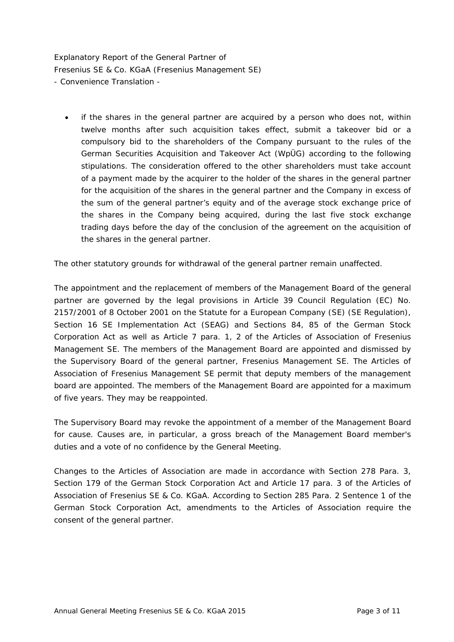if the shares in the general partner are acquired by a person who does not, within twelve months after such acquisition takes effect, submit a takeover bid or a compulsory bid to the shareholders of the Company pursuant to the rules of the German Securities Acquisition and Takeover Act (WpÜG) according to the following stipulations. The consideration offered to the other shareholders must take account of a payment made by the acquirer to the holder of the shares in the general partner for the acquisition of the shares in the general partner and the Company in excess of the sum of the general partner's equity and of the average stock exchange price of the shares in the Company being acquired, during the last five stock exchange trading days before the day of the conclusion of the agreement on the acquisition of the shares in the general partner.

The other statutory grounds for withdrawal of the general partner remain unaffected.

The appointment and the replacement of members of the Management Board of the general partner are governed by the legal provisions in Article 39 Council Regulation (EC) No. 2157/2001 of 8 October 2001 on the Statute for a European Company (SE) (SE Regulation), Section 16 SE Implementation Act (SEAG) and Sections 84, 85 of the German Stock Corporation Act as well as Article 7 para. 1, 2 of the Articles of Association of Fresenius Management SE. The members of the Management Board are appointed and dismissed by the Supervisory Board of the general partner, Fresenius Management SE. The Articles of Association of Fresenius Management SE permit that deputy members of the management board are appointed. The members of the Management Board are appointed for a maximum of five years. They may be reappointed.

The Supervisory Board may revoke the appointment of a member of the Management Board for cause. Causes are, in particular, a gross breach of the Management Board member's duties and a vote of no confidence by the General Meeting.

Changes to the Articles of Association are made in accordance with Section 278 Para. 3, Section 179 of the German Stock Corporation Act and Article 17 para. 3 of the Articles of Association of Fresenius SE & Co. KGaA. According to Section 285 Para. 2 Sentence 1 of the German Stock Corporation Act, amendments to the Articles of Association require the consent of the general partner.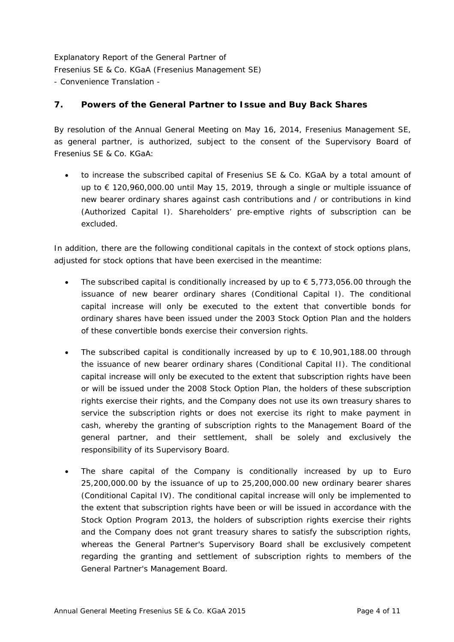#### **7. Powers of the General Partner to Issue and Buy Back Shares**

By resolution of the Annual General Meeting on May 16, 2014, Fresenius Management SE, as general partner, is authorized, subject to the consent of the Supervisory Board of Fresenius SE & Co. KGaA:

 to increase the subscribed capital of Fresenius SE & Co. KGaA by a total amount of up to € 120,960,000.00 until May 15, 2019, through a single or multiple issuance of new bearer ordinary shares against cash contributions and / or contributions in kind (Authorized Capital I). Shareholders' pre-emptive rights of subscription can be excluded.

In addition, there are the following conditional capitals in the context of stock options plans, adjusted for stock options that have been exercised in the meantime:

- The subscribed capital is conditionally increased by up to  $\epsilon$  5,773,056.00 through the issuance of new bearer ordinary shares (Conditional Capital I). The conditional capital increase will only be executed to the extent that convertible bonds for ordinary shares have been issued under the 2003 Stock Option Plan and the holders of these convertible bonds exercise their conversion rights.
- The subscribed capital is conditionally increased by up to  $\epsilon$  10,901,188.00 through the issuance of new bearer ordinary shares (Conditional Capital II). The conditional capital increase will only be executed to the extent that subscription rights have been or will be issued under the 2008 Stock Option Plan, the holders of these subscription rights exercise their rights, and the Company does not use its own treasury shares to service the subscription rights or does not exercise its right to make payment in cash, whereby the granting of subscription rights to the Management Board of the general partner, and their settlement, shall be solely and exclusively the responsibility of its Supervisory Board.
- The share capital of the Company is conditionally increased by up to Euro 25,200,000.00 by the issuance of up to 25,200,000.00 new ordinary bearer shares (Conditional Capital IV). The conditional capital increase will only be implemented to the extent that subscription rights have been or will be issued in accordance with the Stock Option Program 2013, the holders of subscription rights exercise their rights and the Company does not grant treasury shares to satisfy the subscription rights, whereas the General Partner's Supervisory Board shall be exclusively competent regarding the granting and settlement of subscription rights to members of the General Partner's Management Board.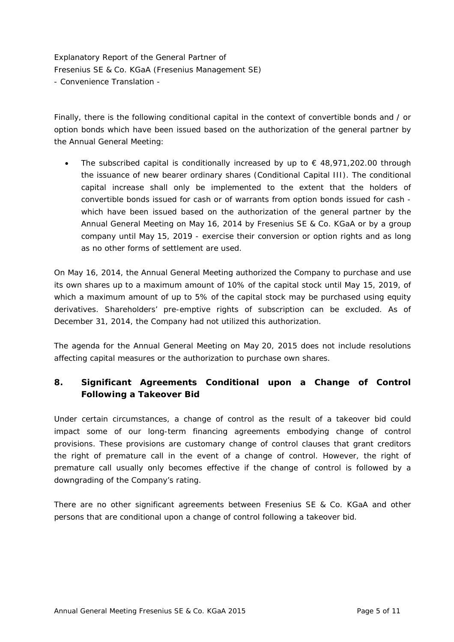Finally, there is the following conditional capital in the context of convertible bonds and / or option bonds which have been issued based on the authorization of the general partner by the Annual General Meeting:

The subscribed capital is conditionally increased by up to  $\epsilon$  48,971,202.00 through the issuance of new bearer ordinary shares (Conditional Capital III). The conditional capital increase shall only be implemented to the extent that the holders of convertible bonds issued for cash or of warrants from option bonds issued for cash which have been issued based on the authorization of the general partner by the Annual General Meeting on May 16, 2014 by Fresenius SE & Co. KGaA or by a group company until May 15, 2019 - exercise their conversion or option rights and as long as no other forms of settlement are used.

On May 16, 2014, the Annual General Meeting authorized the Company to purchase and use its own shares up to a maximum amount of 10% of the capital stock until May 15, 2019, of which a maximum amount of up to 5% of the capital stock may be purchased using equity derivatives. Shareholders' pre-emptive rights of subscription can be excluded. As of December 31, 2014, the Company had not utilized this authorization.

The agenda for the Annual General Meeting on May 20, 2015 does not include resolutions affecting capital measures or the authorization to purchase own shares.

# **8. Significant Agreements Conditional upon a Change of Control Following a Takeover Bid**

Under certain circumstances, a change of control as the result of a takeover bid could impact some of our long-term financing agreements embodying change of control provisions. These provisions are customary change of control clauses that grant creditors the right of premature call in the event of a change of control. However, the right of premature call usually only becomes effective if the change of control is followed by a downgrading of the Company's rating.

There are no other significant agreements between Fresenius SE & Co. KGaA and other persons that are conditional upon a change of control following a takeover bid.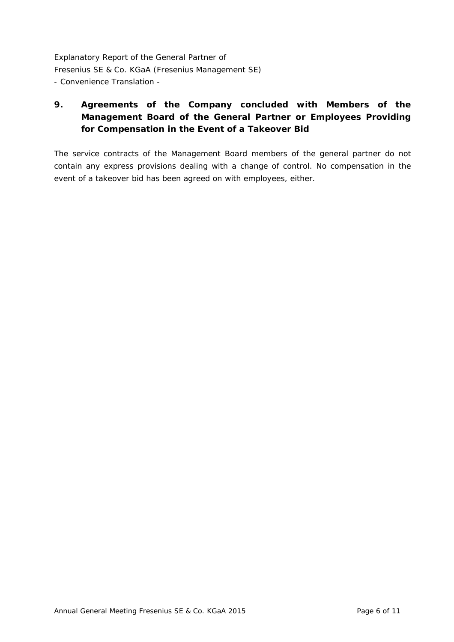# **9. Agreements of the Company concluded with Members of the Management Board of the General Partner or Employees Providing for Compensation in the Event of a Takeover Bid**

The service contracts of the Management Board members of the general partner do not contain any express provisions dealing with a change of control. No compensation in the event of a takeover bid has been agreed on with employees, either.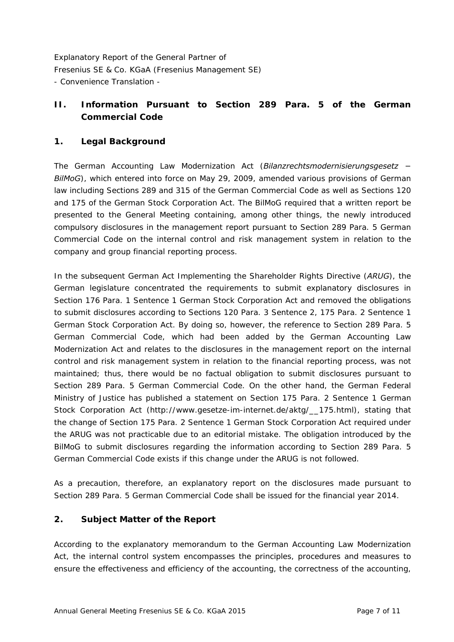## **II. Information Pursuant to Section 289 Para. 5 of the German Commercial Code**

### **1. Legal Background**

The German Accounting Law Modernization Act (*Bilanzrechtsmodernisierungsgesetz − BilMoG*), which entered into force on May 29, 2009, amended various provisions of German law including Sections 289 and 315 of the German Commercial Code as well as Sections 120 and 175 of the German Stock Corporation Act. The BilMoG required that a written report be presented to the General Meeting containing, among other things, the newly introduced compulsory disclosures in the management report pursuant to Section 289 Para. 5 German Commercial Code on the internal control and risk management system in relation to the company and group financial reporting process.

In the subsequent German Act Implementing the Shareholder Rights Directive (*ARUG*), the German legislature concentrated the requirements to submit explanatory disclosures in Section 176 Para. 1 Sentence 1 German Stock Corporation Act and removed the obligations to submit disclosures according to Sections 120 Para. 3 Sentence 2, 175 Para. 2 Sentence 1 German Stock Corporation Act. By doing so, however, the reference to Section 289 Para. 5 German Commercial Code, which had been added by the German Accounting Law Modernization Act and relates to the disclosures in the management report on the internal control and risk management system in relation to the financial reporting process, was not maintained; thus, there would be no factual obligation to submit disclosures pursuant to Section 289 Para. 5 German Commercial Code. On the other hand, the German Federal Ministry of Justice has published a statement on Section 175 Para. 2 Sentence 1 German Stock Corporation Act (http://www.gesetze-im-internet.de/aktg/\_\_175.html), stating that the change of Section 175 Para. 2 Sentence 1 German Stock Corporation Act required under the ARUG was not practicable due to an editorial mistake. The obligation introduced by the BilMoG to submit disclosures regarding the information according to Section 289 Para. 5 German Commercial Code exists if this change under the ARUG is not followed.

As a precaution, therefore, an explanatory report on the disclosures made pursuant to Section 289 Para. 5 German Commercial Code shall be issued for the financial year 2014.

#### **2. Subject Matter of the Report**

According to the explanatory memorandum to the German Accounting Law Modernization Act, the internal control system encompasses the principles, procedures and measures to ensure the effectiveness and efficiency of the accounting, the correctness of the accounting,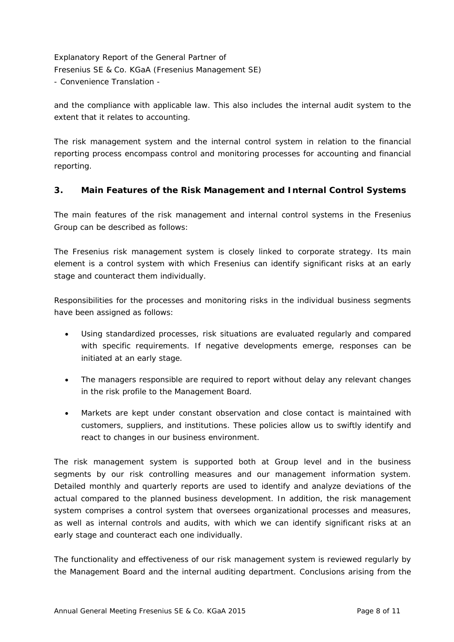and the compliance with applicable law. This also includes the internal audit system to the extent that it relates to accounting.

The risk management system and the internal control system in relation to the financial reporting process encompass control and monitoring processes for accounting and financial reporting.

#### **3. Main Features of the Risk Management and Internal Control Systems**

The main features of the risk management and internal control systems in the Fresenius Group can be described as follows:

The Fresenius risk management system is closely linked to corporate strategy. Its main element is a control system with which Fresenius can identify significant risks at an early stage and counteract them individually.

Responsibilities for the processes and monitoring risks in the individual business segments have been assigned as follows:

- Using standardized processes, risk situations are evaluated regularly and compared with specific requirements. If negative developments emerge, responses can be initiated at an early stage.
- The managers responsible are required to report without delay any relevant changes in the risk profile to the Management Board.
- Markets are kept under constant observation and close contact is maintained with customers, suppliers, and institutions. These policies allow us to swiftly identify and react to changes in our business environment.

The risk management system is supported both at Group level and in the business segments by our risk controlling measures and our management information system. Detailed monthly and quarterly reports are used to identify and analyze deviations of the actual compared to the planned business development. In addition, the risk management system comprises a control system that oversees organizational processes and measures, as well as internal controls and audits, with which we can identify significant risks at an early stage and counteract each one individually.

The functionality and effectiveness of our risk management system is reviewed regularly by the Management Board and the internal auditing department. Conclusions arising from the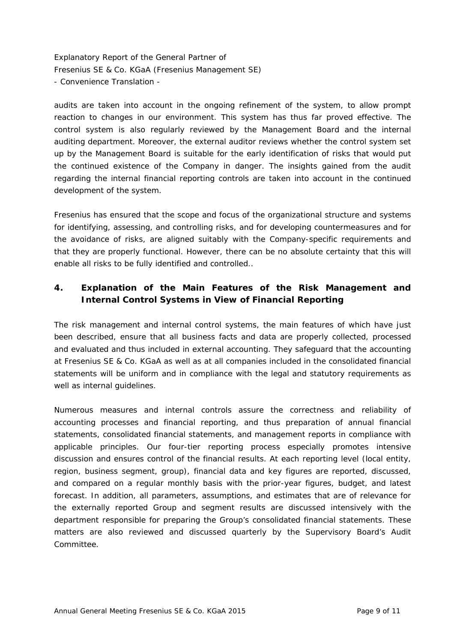audits are taken into account in the ongoing refinement of the system, to allow prompt reaction to changes in our environment. This system has thus far proved effective. The control system is also regularly reviewed by the Management Board and the internal auditing department. Moreover, the external auditor reviews whether the control system set up by the Management Board is suitable for the early identification of risks that would put the continued existence of the Company in danger. The insights gained from the audit regarding the internal financial reporting controls are taken into account in the continued development of the system.

Fresenius has ensured that the scope and focus of the organizational structure and systems for identifying, assessing, and controlling risks, and for developing countermeasures and for the avoidance of risks, are aligned suitably with the Company-specific requirements and that they are properly functional. However, there can be no absolute certainty that this will enable all risks to be fully identified and controlled..

## **4. Explanation of the Main Features of the Risk Management and Internal Control Systems in View of Financial Reporting**

The risk management and internal control systems, the main features of which have just been described, ensure that all business facts and data are properly collected, processed and evaluated and thus included in external accounting. They safeguard that the accounting at Fresenius SE & Co. KGaA as well as at all companies included in the consolidated financial statements will be uniform and in compliance with the legal and statutory requirements as well as internal quidelines.

Numerous measures and internal controls assure the correctness and reliability of accounting processes and financial reporting, and thus preparation of annual financial statements, consolidated financial statements, and management reports in compliance with applicable principles. Our four-tier reporting process especially promotes intensive discussion and ensures control of the financial results. At each reporting level (local entity, region, business segment, group), financial data and key figures are reported, discussed, and compared on a regular monthly basis with the prior-year figures, budget, and latest forecast. In addition, all parameters, assumptions, and estimates that are of relevance for the externally reported Group and segment results are discussed intensively with the department responsible for preparing the Group's consolidated financial statements. These matters are also reviewed and discussed quarterly by the Supervisory Board's Audit Committee.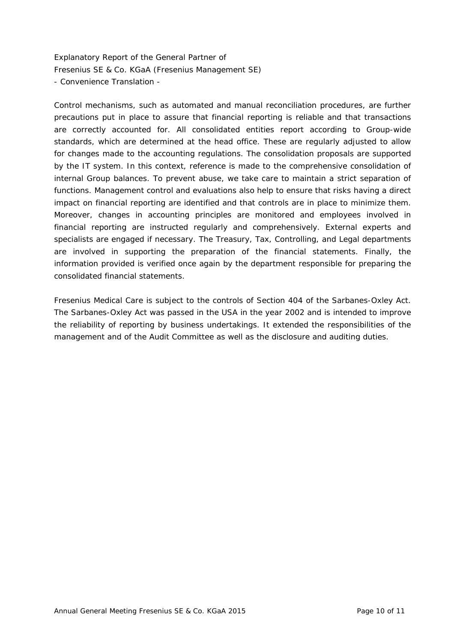Control mechanisms, such as automated and manual reconciliation procedures, are further precautions put in place to assure that financial reporting is reliable and that transactions are correctly accounted for. All consolidated entities report according to Group-wide standards, which are determined at the head office. These are regularly adjusted to allow for changes made to the accounting regulations. The consolidation proposals are supported by the IT system. In this context, reference is made to the comprehensive consolidation of internal Group balances. To prevent abuse, we take care to maintain a strict separation of functions. Management control and evaluations also help to ensure that risks having a direct impact on financial reporting are identified and that controls are in place to minimize them. Moreover, changes in accounting principles are monitored and employees involved in financial reporting are instructed regularly and comprehensively. External experts and specialists are engaged if necessary. The Treasury, Tax, Controlling, and Legal departments are involved in supporting the preparation of the financial statements. Finally, the information provided is verified once again by the department responsible for preparing the consolidated financial statements.

Fresenius Medical Care is subject to the controls of Section 404 of the Sarbanes-Oxley Act. The Sarbanes-Oxley Act was passed in the USA in the year 2002 and is intended to improve the reliability of reporting by business undertakings. It extended the responsibilities of the management and of the Audit Committee as well as the disclosure and auditing duties.